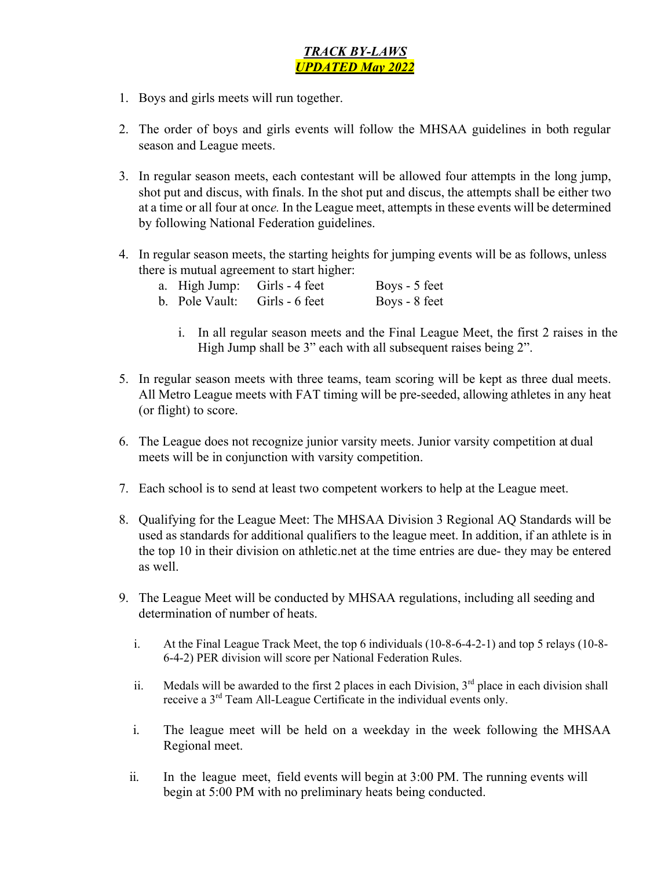## *TRACK BY-LAWS UPDATED May 2022*

- 1. Boys and girls meets will run together.
- 2. The order of boys and girls events will follow the MHSAA guidelines in both regular season and League meets.
- 3. In regular season meets, each contestant will be allowed four attempts in the long jump, shot put and discus, with finals. In the shot put and discus, the attempts shall be either two at a time or all four at onc*e.* In the League meet, attempts in these events will be determined by following National Federation guidelines.
- 4. In regular season meets, the starting heights for jumping events will be as follows, unless there is mutual agreement to start higher:

|  | a. High Jump: Girls - 4 feet  | Boys - 5 feet |
|--|-------------------------------|---------------|
|  | b. Pole Vault: Girls - 6 feet | Boys - 8 feet |

- i. In all regular season meets and the Final League Meet, the first 2 raises in the High Jump shall be 3" each with all subsequent raises being 2".
- 5. In regular season meets with three teams, team scoring will be kept as three dual meets. All Metro League meets with FAT timing will be pre-seeded, allowing athletes in any heat (or flight) to score.
- 6. The League does not recognize junior varsity meets. Junior varsity competition at dual meets will be in conjunction with varsity competition.
- 7. Each school is to send at least two competent workers to help at the League meet.
- 8. Qualifying for the League Meet: The MHSAA Division 3 Regional AQ Standards will be used as standards for additional qualifiers to the league meet. In addition, if an athlete is in the top 10 in their division on athletic.net at the time entries are due- they may be entered as well.
- 9. The League Meet will be conducted by MHSAA regulations, including all seeding and determination of number of heats.
	- i. At the Final League Track Meet, the top 6 individuals (10-8-6-4-2-1) and top 5 relays (10-8- 6-4-2) PER division will score per National Federation Rules.
	- ii. Medals will be awarded to the first 2 places in each Division,  $3<sup>rd</sup>$  place in each division shall receive a 3<sup>rd</sup> Team All-League Certificate in the individual events only.
	- i. The league meet will be held on a weekday in the week following the MHSAA Regional meet.
	- ii. In the league meet, field events will begin at 3:00 PM. The running events will begin at 5:00 PM with no preliminary heats being conducted.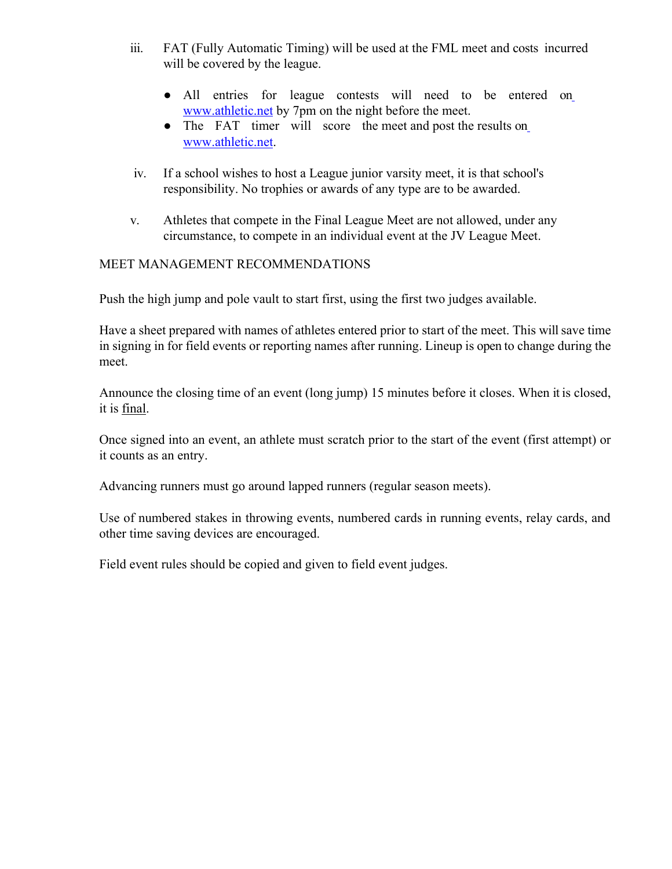- iii. FAT (Fully Automatic Timing) will be used at the FML meet and costs incurred will be covered by the league.
	- All entries for league contests will need to be entered on www.athletic.net by 7pm on the night before the meet.
	- The FAT timer will score the meet and post the results on www.athletic.net.
- iv. If a school wishes to host a League junior varsity meet, it is that school's responsibility. No trophies or awards of any type are to be awarded.
- v. Athletes that compete in the Final League Meet are not allowed, under any circumstance, to compete in an individual event at the JV League Meet.

## MEET MANAGEMENT RECOMMENDATIONS

Push the high jump and pole vault to start first, using the first two judges available.

Have a sheet prepared with names of athletes entered prior to start of the meet. This will save time in signing in for field events or reporting names after running. Lineup is open to change during the meet.

Announce the closing time of an event (long jump) 15 minutes before it closes. When it is closed, it is final.

Once signed into an event, an athlete must scratch prior to the start of the event (first attempt) or it counts as an entry.

Advancing runners must go around lapped runners (regular season meets).

Use of numbered stakes in throwing events, numbered cards in running events, relay cards, and other time saving devices are encouraged.

Field event rules should be copied and given to field event judges.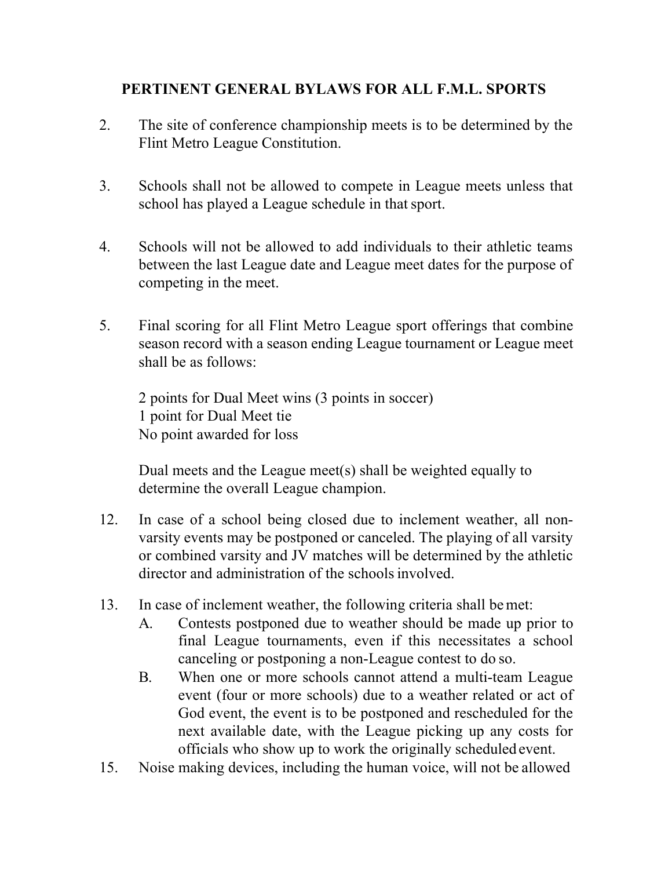## **PERTINENT GENERAL BYLAWS FOR ALL F.M.L. SPORTS**

- 2. The site of conference championship meets is to be determined by the Flint Metro League Constitution.
- 3. Schools shall not be allowed to compete in League meets unless that school has played a League schedule in that sport.
- 4. Schools will not be allowed to add individuals to their athletic teams between the last League date and League meet dates for the purpose of competing in the meet.
- 5. Final scoring for all Flint Metro League sport offerings that combine season record with a season ending League tournament or League meet shall be as follows:

2 points for Dual Meet wins (3 points in soccer) 1 point for Dual Meet tie No point awarded for loss

Dual meets and the League meet(s) shall be weighted equally to determine the overall League champion.

- 12. In case of a school being closed due to inclement weather, all nonvarsity events may be postponed or canceled. The playing of all varsity or combined varsity and JV matches will be determined by the athletic director and administration of the schoolsinvolved.
- 13. In case of inclement weather, the following criteria shall bemet:
	- A. Contests postponed due to weather should be made up prior to final League tournaments, even if this necessitates a school canceling or postponing a non-League contest to do so.
	- B. When one or more schools cannot attend a multi-team League event (four or more schools) due to a weather related or act of God event, the event is to be postponed and rescheduled for the next available date, with the League picking up any costs for officials who show up to work the originally scheduled event.
- 15. Noise making devices, including the human voice, will not be allowed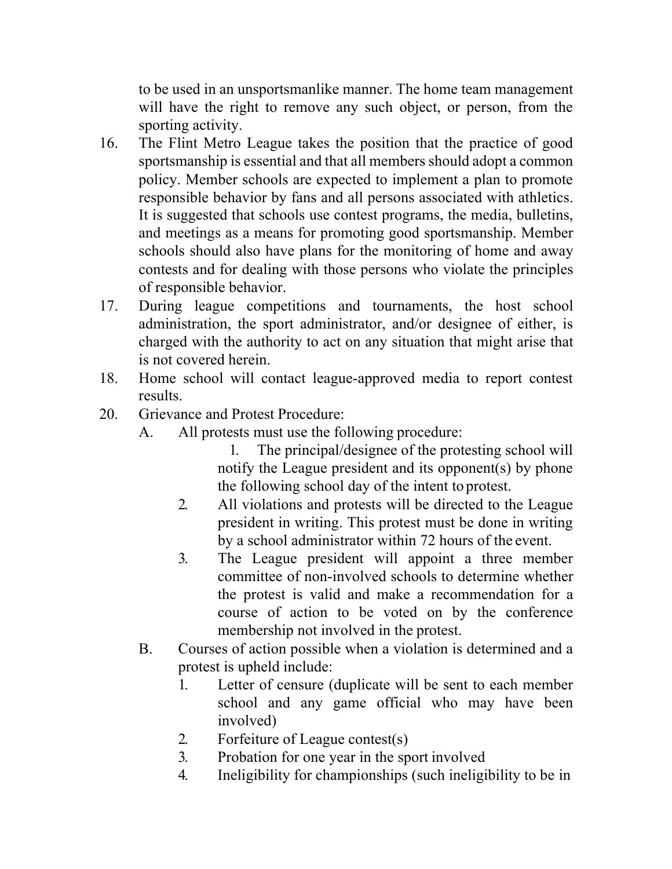to be used in an unsportsmanlike manner. The home team management will have the right to remove any such object, or person, from the sporting activity.

- 16. The Flint Metro League takes the position that the practice of good sportsmanship is essential and that all members should adopt a common policy. Member schools are expected to implement a plan to promote responsible behavior by fans and all persons associated with athletics. It is suggested that schools use contest programs, the media, bulletins, and meetings as a means for promoting good sportsmanship. Member schools should also have plans for the monitoring of home and away contests and for dealing with those persons who violate the principles of responsible behavior.
- 17. During league competitions and tournaments, the host school administration, the sport administrator, and/or designee of either, is charged with the authority to act on any situation that might arise that is not covered herein.
- 18. Home school will contact league-approved media to report contest results.
- 20. Grievance and Protest Procedure:
	- A. All protests must use the following procedure:

1. The principal/designee of the protesting school will notify the League president and its opponent(s) by phone the following school day of the intent to protest.

- 2. All violations and protests will be directed to the League president in writing. This protest must be done in writing by a school administrator within 72 hours of the event.
- 3. The League president will appoint a three member committee of non-involved schools to determine whether the protest is valid and make a recommendation for a course of action to be voted on by the conference membership not involved in the protest.
- B. Courses of action possible when a violation is determined and a protest is upheld include:
	- 1. Letter of censure (duplicate will be sent to each member school and any game official who may have been involved)
	- 2. Forfeiture of League contest(s)
	- 3. Probation for one year in the sport involved
	- 4. Ineligibility for championships (such ineligibility to be in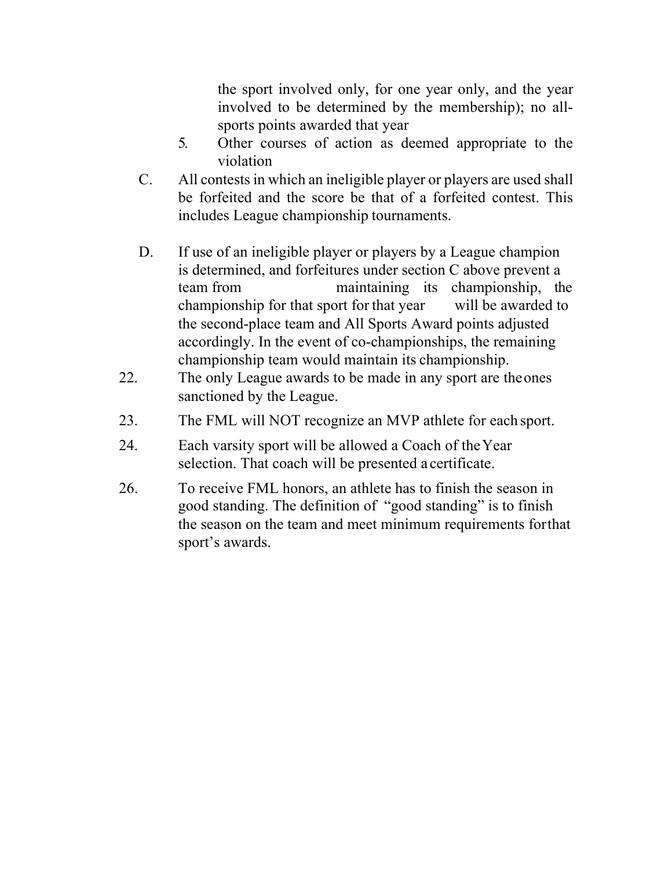the sport involved only, for one year only, and the year involved to be determined by the membership); no allsports points awarded that year

- 5. Other courses of action as deemed appropriate to the violation
- C. All contests in which an ineligible player or players are used shall be forfeited and the score be that of a forfeited contest. This includes League championship tournaments.
- D. If use of an ineligible player or players by a League champion is determined, and forfeitures under section C above prevent a team from maintaining its championship, the championship for that sport for that year will be awarded to the second-place team and All Sports Award points adjusted accordingly. In the event of co-championships, the remaining championship team would maintain its championship.
- 22. The only League awards to be made in any sport are theones sanctioned by the League.
- 23. The FML will NOT recognize an MVP athlete for each sport.
- 24. Each varsity sport will be allowed a Coach of theYear selection. That coach will be presented a certificate.
- 26. To receive FML honors, an athlete has to finish the season in good standing. The definition of "good standing" is to finish the season on the team and meet minimum requirements forthat sport's awards.